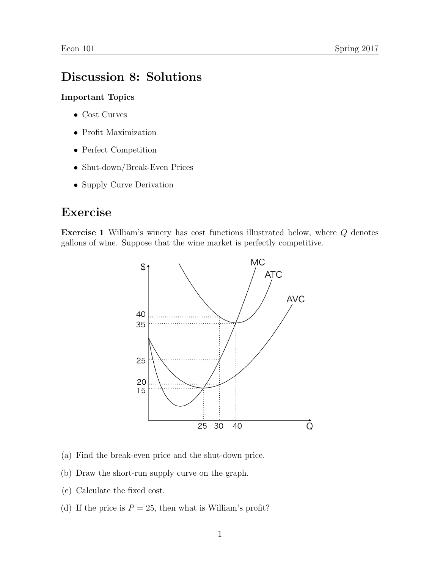## Discussion 8: Solutions

## Important Topics

- Cost Curves
- Profit Maximization
- Perfect Competition
- Shut-down/Break-Even Prices
- Supply Curve Derivation

## Exercise

Exercise 1 William's winery has cost functions illustrated below, where Q denotes gallons of wine. Suppose that the wine market is perfectly competitive.



- (a) Find the break-even price and the shut-down price.
- (b) Draw the short-run supply curve on the graph.
- (c) Calculate the fixed cost.
- (d) If the price is  $P = 25$ , then what is William's profit?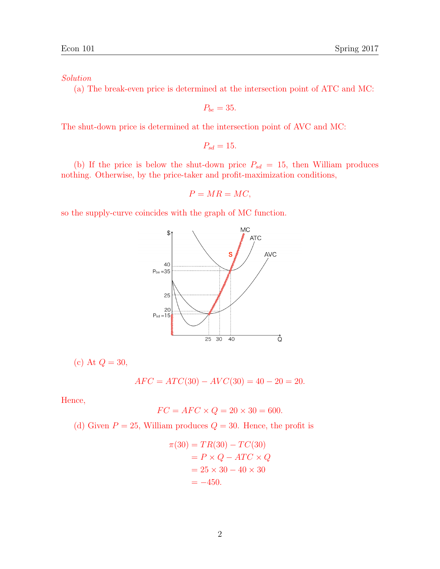## Solution

(a) The break-even price is determined at the intersection point of ATC and MC:

$$
P_{be}=35.
$$

The shut-down price is determined at the intersection point of AVC and MC:

$$
P_{sd}=15.
$$

(b) If the price is below the shut-down price  $P_{sd} = 15$ , then William produces nothing. Otherwise, by the price-taker and profit-maximization conditions,

$$
P = MR = MC,
$$

so the supply-curve coincides with the graph of MC function.



(c) At  $Q = 30$ ,

$$
AFC = ATC(30) - AVC(30) = 40 - 20 = 20.
$$

Hence,

$$
FC = AFC \times Q = 20 \times 30 = 600.
$$

(d) Given  $P = 25$ , William produces  $Q = 30$ . Hence, the profit is

$$
\pi(30) = TR(30) - TC(30)
$$

$$
= P \times Q - ATC \times Q
$$

$$
= 25 \times 30 - 40 \times 30
$$

$$
= -450.
$$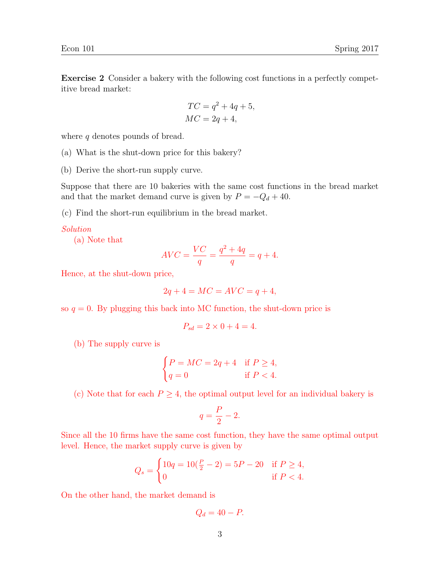$$
TC = q2 + 4q + 5,
$$
  

$$
MC = 2q + 4,
$$

where q denotes pounds of bread.

- (a) What is the shut-down price for this bakery?
- (b) Derive the short-run supply curve.

Suppose that there are 10 bakeries with the same cost functions in the bread market and that the market demand curve is given by  $P = -Q_d + 40$ .

(c) Find the short-run equilibrium in the bread market.

Solution

(a) Note that

$$
AVC = \frac{VC}{q} = \frac{q^2 + 4q}{q} = q + 4.
$$

Hence, at the shut-down price,

$$
2q + 4 = MC = AVC = q + 4,
$$

so  $q = 0$ . By plugging this back into MC function, the shut-down price is

$$
P_{sd} = 2 \times 0 + 4 = 4.
$$

(b) The supply curve is

$$
\begin{cases}\nP = MC = 2q + 4 & \text{if } P \ge 4, \\
q = 0 & \text{if } P < 4.\n\end{cases}
$$

(c) Note that for each  $P \geq 4$ , the optimal output level for an individual bakery is

$$
q = \frac{P}{2} - 2.
$$

Since all the 10 firms have the same cost function, they have the same optimal output level. Hence, the market supply curve is given by

$$
Q_s = \begin{cases} 10q = 10(\frac{P}{2} - 2) = 5P - 20 & \text{if } P \ge 4, \\ 0 & \text{if } P < 4. \end{cases}
$$

On the other hand, the market demand is

$$
Q_d = 40 - P.
$$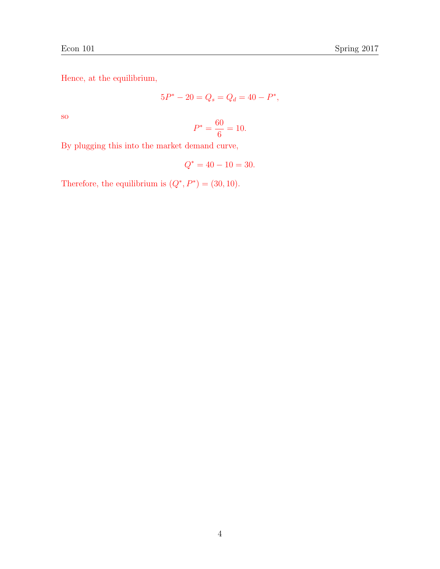Hence, at the equilibrium,

$$
5P^* - 20 = Q_s = Q_d = 40 - P^*,
$$

so

$$
P^* = \frac{60}{6} = 10.
$$

By plugging this into the market demand curve,

$$
Q^* = 40 - 10 = 30.
$$

Therefore, the equilibrium is  $(Q^*, P^*) = (30, 10)$ .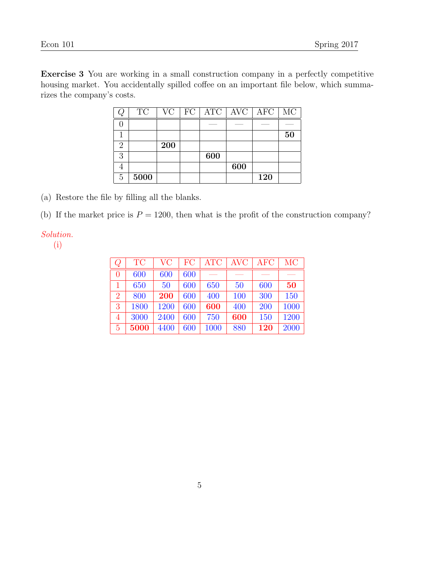Exercise 3 You are working in a small construction company in a perfectly competitive housing market. You accidentally spilled coffee on an important file below, which summarizes the company's costs.

|          | $\protect\operatorname{TC}$ | VC  | FC <sub>1</sub> |     | $ATC$   AVC | AFC | MC |
|----------|-----------------------------|-----|-----------------|-----|-------------|-----|----|
|          |                             |     |                 |     |             |     |    |
|          |                             |     |                 |     |             |     | 50 |
| $\Omega$ |                             | 200 |                 |     |             |     |    |
| 3        |                             |     |                 | 600 |             |     |    |
|          |                             |     |                 |     | 600         |     |    |
| 5        | 5000                        |     |                 |     |             | 120 |    |

(a) Restore the file by filling all the blanks.

(b) If the market price is  $P = 1200$ , then what is the profit of the construction company?

Solution.

(i)

| $\,Q$          | <b>TC</b> | <b>VC</b> | FC  | <b>ATC</b> | <b>AVC</b> | <b>AFC</b> | МC   |
|----------------|-----------|-----------|-----|------------|------------|------------|------|
| $\overline{0}$ | 600       | 600       | 600 |            |            |            |      |
|                | 650       | 50        | 600 | 650        | 50         | 600        | 50   |
| $\overline{2}$ | 800       | 200       | 600 | 400        | 100        | 300        | 150  |
| 3              | 1800      | 1200      | 600 | 600        | 400        | 200        | 1000 |
| 4              | 3000      | 2400      | 600 | 750        | 600        | 150        | 1200 |
| $\overline{5}$ | 5000      | 4400      | 600 | 1000       | 880        | 120        | 2000 |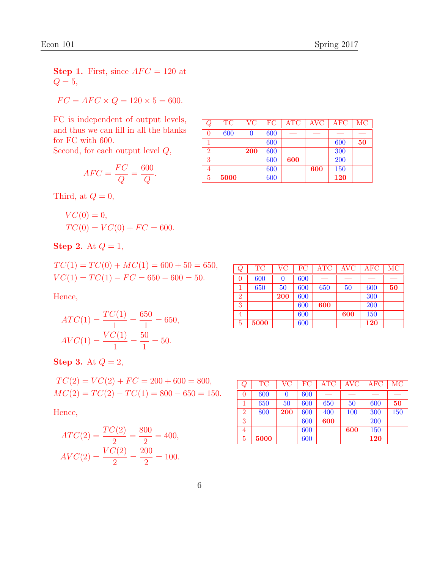**Step 1.** First, since  $AFC = 120$  at  $Q=5$ ,

$$
FC = AFC \times Q = 120 \times 5 = 600.
$$

FC is independent of output levels, and thus we can fill in all the blanks for FC with 600.

Second, for each output level  $Q$ ,

$$
AFC = \frac{FC}{Q} = \frac{600}{Q}.
$$

Third, at  $Q = 0$ ,

$$
VC(0) = 0,
$$
  
\n
$$
TC(0) = VC(0) + FC = 600.
$$

Step 2. At  $Q = 1$ ,

 $TC(1) = TC(0) + MC(1) = 600 + 50 = 650,$  $VC(1) = TC(1) - FC = 650 - 600 = 50.$ 

Hence,

$$
ATC(1) = \frac{TC(1)}{1} = \frac{650}{1} = 650,
$$
  

$$
AVC(1) = \frac{VC(1)}{1} = \frac{50}{1} = 50.
$$

Step 3. At  $Q=2$ ,

$$
TC(2) = VC(2) + FC = 200 + 600 = 800,
$$
  

$$
MC(2) = TC(2) - TC(1) = 800 - 650 = 150.
$$

Hence,

$$
ATC(2) = \frac{TC(2)}{2} = \frac{800}{2} = 400,
$$
  
 
$$
AVC(2) = \frac{VC(2)}{2} = \frac{200}{2} = 100.
$$

|                |           | VC  | FC  |            | <b>AVC</b> |            |     |
|----------------|-----------|-----|-----|------------|------------|------------|-----|
| $\cal Q$       | <b>TC</b> |     |     | $\rm{ATC}$ |            | AFC        | MC  |
| 0              | 600       | 0   | 600 |            |            |            |     |
|                | 650       | 50  | 600 | 650        | 50         | 600        | 50  |
| $\overline{2}$ | 800       | 200 | 600 | 400        | 100        | 300        | 150 |
| 3              |           |     | 600 | 600        |            | 200        |     |
| 4              |           |     | 600 |            | 600        | 150        |     |
| 5              | 5000      |     | 600 |            |            | <b>120</b> |     |

| Ų              | <b>TC</b> | VC         | FC  | $\rm{ATC}$ | <b>AVC</b> | <b>AFC</b> | MC |
|----------------|-----------|------------|-----|------------|------------|------------|----|
| 0              | 600       | O          | 600 |            |            |            |    |
|                |           |            | 600 |            |            | 600        | 50 |
| $\overline{2}$ |           | <b>200</b> | 600 |            |            | 300        |    |
| 3              |           |            | 600 | 600        |            | 200        |    |
| 4              |           |            | 600 |            | 600        | 150        |    |
| 5              | 5000      |            | 600 |            |            | <b>120</b> |    |

| Q              | <b>TC</b> | $\rm VC$   | FC  | $\rm{ATC}$ | <b>AVC</b> | $\rm{AFC}$ | $\rm MC$ |
|----------------|-----------|------------|-----|------------|------------|------------|----------|
| 0              | 600       | 0          | 600 |            |            |            |          |
|                | 650       | 50         | 600 | 650        | 50         | 600        | 50       |
| $\overline{2}$ |           | <b>200</b> | 600 |            |            | 300        |          |
| 3              |           |            | 600 | 600        |            | 200        |          |
| 4              |           |            | 600 |            | 600        | 150        |          |
| 5              | 5000      |            | 600 |            |            | 120        |          |